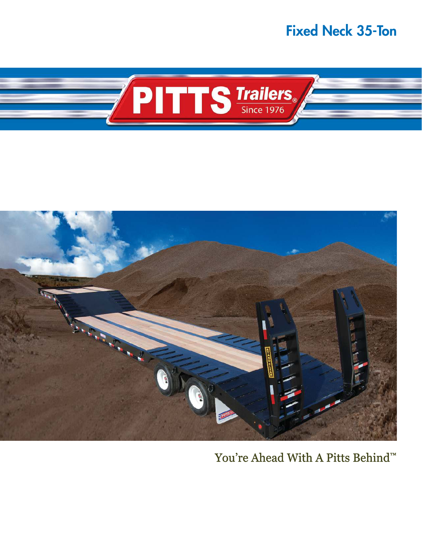### Fixed Neck 35-Ton





## You're Ahead With A Pitts Behind™